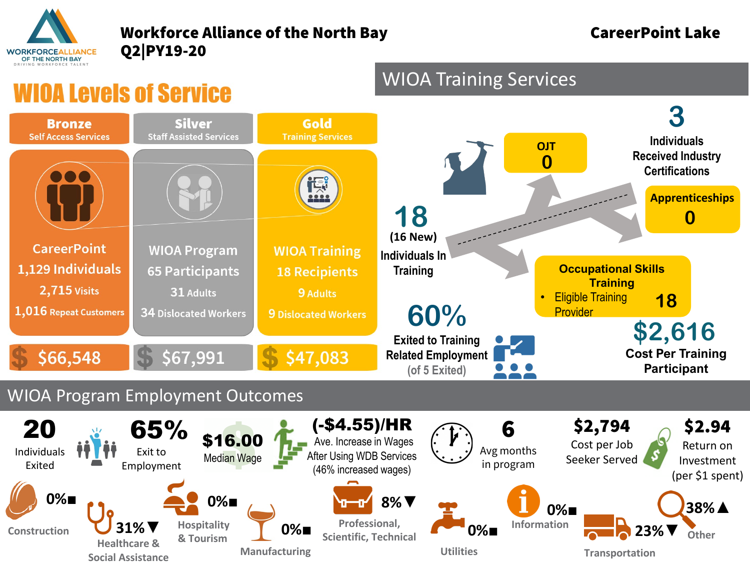

#### Workforce Alliance of the North Bay **CareerPoint Lake** Q2|PY19-20

## *IIOA Levels of Service*



WIOA Training Services

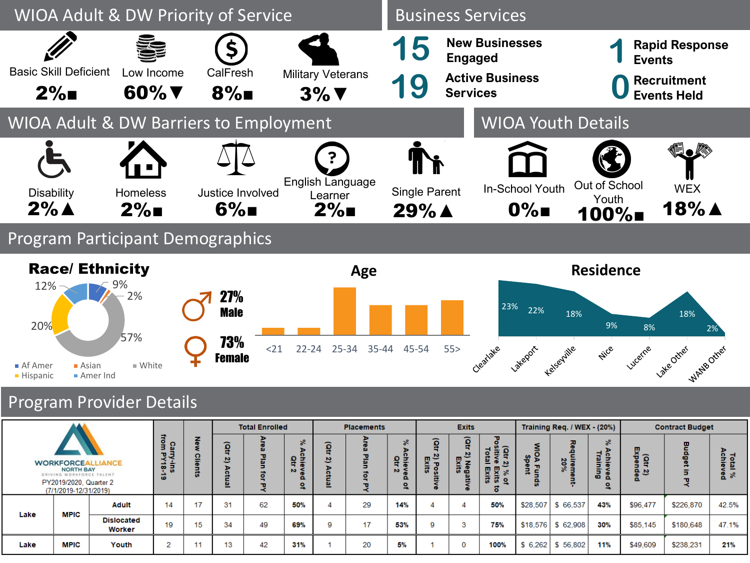

### Program Participant Demographics



### Program Provider Details

|                                                                                                                                       |             |                             |    |             | <b>Total Enrolled</b> |                |                  | <b>Placements</b> |                           |                      | <b>Exits</b>             |                                                     |      | Training Req. / WEX - (20%) |                                                   |                           | <b>Contract Budget</b> |                   |       |
|---------------------------------------------------------------------------------------------------------------------------------------|-------------|-----------------------------|----|-------------|-----------------------|----------------|------------------|-------------------|---------------------------|----------------------|--------------------------|-----------------------------------------------------|------|-----------------------------|---------------------------------------------------|---------------------------|------------------------|-------------------|-------|
|                                                                                                                                       |             | from<br>Carry-ins<br>PY18-  | ჲ  | ត្ត្        |                       | $\aleph$<br>oΞ | ត្ត្             | $\mathbf{u}$      | S.<br>ō                   | ัธ                   | ĝ                        | ъ.<br>(atr                                          | يو   |                             | వి                                                | ក្ដ<br>កូ ភ្ន             | w<br>œ                 | Tota<br>Achie     |       |
| <b>WORKFORCEA</b><br><b>LIANCE</b><br><b>NORTH BAY</b><br>DRIVING WORKFORCE TALENT<br>PY2019/2020, Quarter 2<br>(7/1/2019-12/31/2019) |             | $\boldsymbol{\omega}$       |    | 쓰<br>ō<br>ω |                       | <b>N</b>       | 브<br>ö<br>w<br>= | ត                 | 욕 흙<br>$N \leq$<br>ο<br>٩ | 2) Po<br>Exit<br>ត ន | 2) Negativ<br>Exits<br>œ | <b>N</b><br>몇 몇<br>్వ<br>ā<br>$\overline{5}$ 2<br>o |      | lirem<br>20%                | Achieve<br>Trainin<br>$\boldsymbol{\omega}$<br>o. | $\mathbf{a}$ $\mathbf{w}$ |                        | w<br>-<br>≗<br>్య |       |
| Lake                                                                                                                                  | <b>MPIC</b> | <b>Adult</b>                | 14 | 17          | 31                    | 62             | 50%              | 4                 | 29                        | 14%                  |                          | 4                                                   | 50%  | \$28,507                    | \$66,537                                          | 43%                       | \$96,477               | \$226,870         | 42.5% |
|                                                                                                                                       |             | <b>Dislocated</b><br>Worker | 19 | 15          | 34                    | 49             | 69%              | q                 | 17                        | 53%                  | q                        | 3                                                   | 75%  |                             | $$18.576$ \$62.908                                | 30%                       | \$85,145               | \$180,648         | 47.1% |
| Lake                                                                                                                                  | MPIC        | Youth                       | 2  | ии          | 13                    | 42             | 31%              |                   | 20                        | 5%                   |                          | $\mathbf 0$                                         | 100% | \$6,262                     | \$56,802                                          | 11%                       | \$49,609               | \$238,231         | 21%   |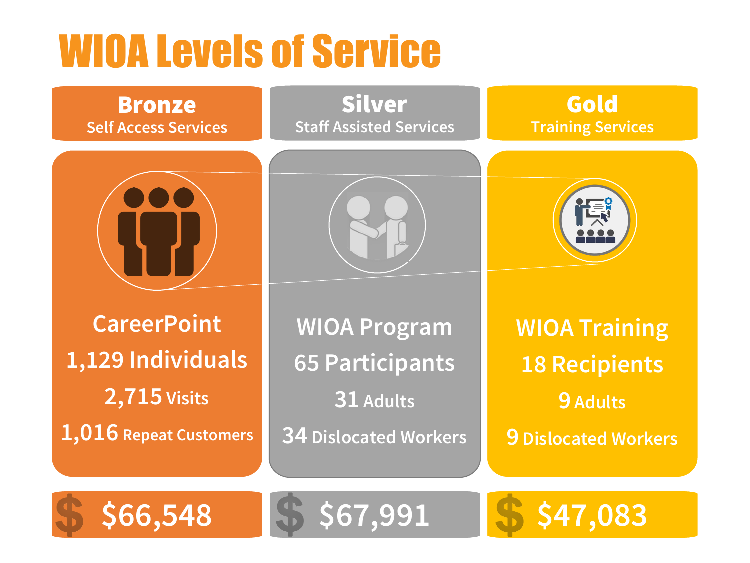# WIOA Levels of Service



**1,016 Repeat Customers**